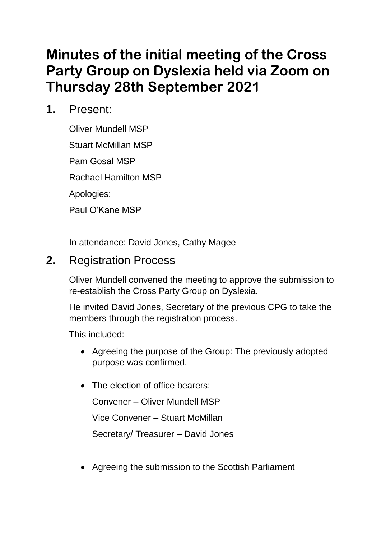# **Minutes of the initial meeting of the Cross Party Group on Dyslexia held via Zoom on Thursday 28th September 2021**

**1.** Present:

Oliver Mundell MSP Stuart McMillan MSP Pam Gosal MSP Rachael Hamilton MSP Apologies: Paul O'Kane MSP

In attendance: David Jones, Cathy Magee

# **2.** Registration Process

Oliver Mundell convened the meeting to approve the submission to re-establish the Cross Party Group on Dyslexia.

He invited David Jones, Secretary of the previous CPG to take the members through the registration process.

This included:

- Agreeing the purpose of the Group: The previously adopted purpose was confirmed.
- The election of office bearers:

Convener – Oliver Mundell MSP

Vice Convener – Stuart McMillan

Secretary/ Treasurer – David Jones

• Agreeing the submission to the Scottish Parliament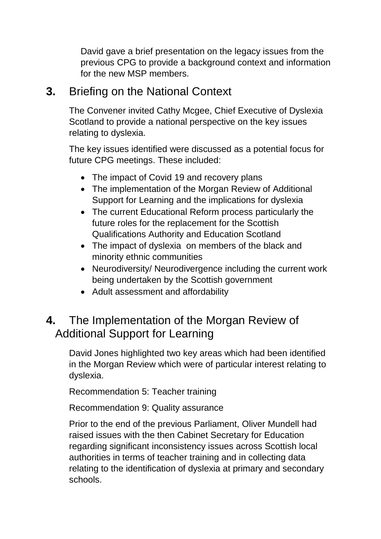David gave a brief presentation on the legacy issues from the previous CPG to provide a background context and information for the new MSP members.

### **3.** Briefing on the National Context

The Convener invited Cathy Mcgee, Chief Executive of Dyslexia Scotland to provide a national perspective on the key issues relating to dyslexia.

The key issues identified were discussed as a potential focus for future CPG meetings. These included:

- The impact of Covid 19 and recovery plans
- The implementation of the Morgan Review of Additional Support for Learning and the implications for dyslexia
- The current Educational Reform process particularly the future roles for the replacement for the Scottish Qualifications Authority and Education Scotland
- The impact of dyslexia on members of the black and minority ethnic communities
- Neurodiversity/ Neurodivergence including the current work being undertaken by the Scottish government
- Adult assessment and affordability

# **4.** The Implementation of the Morgan Review of Additional Support for Learning

David Jones highlighted two key areas which had been identified in the Morgan Review which were of particular interest relating to dyslexia.

Recommendation 5: Teacher training

Recommendation 9: Quality assurance

Prior to the end of the previous Parliament, Oliver Mundell had raised issues with the then Cabinet Secretary for Education regarding significant inconsistency issues across Scottish local authorities in terms of teacher training and in collecting data relating to the identification of dyslexia at primary and secondary schools.